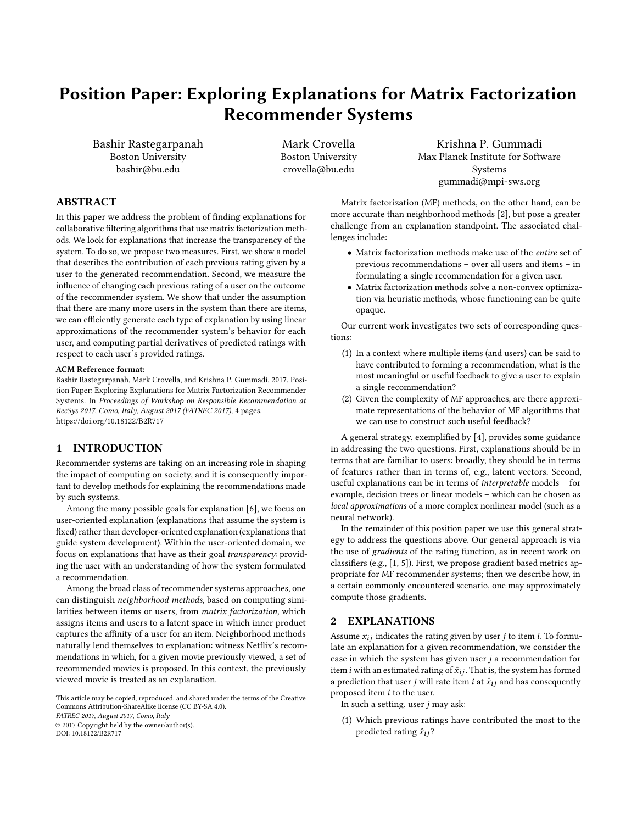# Position Paper: Exploring Explanations for Matrix Factorization Recommender Systems

Bashir Rastegarpanah Boston University bashir@bu.edu

Mark Crovella Boston University crovella@bu.edu

Krishna P. Gummadi Max Planck Institute for Software Systems gummadi@mpi-sws.org

## ABSTRACT

In this paper we address the problem of finding explanations for collaborative filtering algorithms that use matrix factorization methods. We look for explanations that increase the transparency of the system. To do so, we propose two measures. First, we show a model that describes the contribution of each previous rating given by a user to the generated recommendation. Second, we measure the influence of changing each previous rating of a user on the outcome of the recommender system. We show that under the assumption that there are many more users in the system than there are items, we can efficiently generate each type of explanation by using linear approximations of the recommender system's behavior for each user, and computing partial derivatives of predicted ratings with respect to each user's provided ratings.

#### ACM Reference format:

Bashir Rastegarpanah, Mark Crovella, and Krishna P. Gummadi. 2017. Position Paper: Exploring Explanations for Matrix Factorization Recommender Systems. In Proceedings of Workshop on Responsible Recommendation at RecSys 2017, Como, Italy, August 2017 (FATREC 2017), [4](#page-3-0) pages. <https://doi.org/10.18122/B2R717>

## 1 INTRODUCTION

Recommender systems are taking on an increasing role in shaping the impact of computing on society, and it is consequently important to develop methods for explaining the recommendations made by such systems.

Among the many possible goals for explanation [\[6\]](#page-3-1), we focus on user-oriented explanation (explanations that assume the system is fixed) rather than developer-oriented explanation (explanations that guide system development). Within the user-oriented domain, we focus on explanations that have as their goal transparency: providing the user with an understanding of how the system formulated a recommendation.

Among the broad class of recommender systems approaches, one can distinguish neighborhood methods, based on computing similarities between items or users, from matrix factorization, which assigns items and users to a latent space in which inner product captures the affinity of a user for an item. Neighborhood methods naturally lend themselves to explanation: witness Netflix's recommendations in which, for a given movie previously viewed, a set of recommended movies is proposed. In this context, the previously viewed movie is treated as an explanation.

This article may be copied, reproduced, and shared under the terms of the Creative Commons Attribution-ShareAlike license (CC BY-SA 4.0).

FATREC 2017, August 2017, Como, Italy

© 2017 Copyright held by the owner/author(s).

DOI: 10.18122/B2R717

Matrix factorization (MF) methods, on the other hand, can be more accurate than neighborhood methods [\[2\]](#page-3-2), but pose a greater challenge from an explanation standpoint. The associated challenges include:

- Matrix factorization methods make use of the entire set of previous recommendations – over all users and items – in formulating a single recommendation for a given user.
- Matrix factorization methods solve a non-convex optimization via heuristic methods, whose functioning can be quite opaque.

Our current work investigates two sets of corresponding questions:

- (1) In a context where multiple items (and users) can be said to have contributed to forming a recommendation, what is the most meaningful or useful feedback to give a user to explain a single recommendation?
- (2) Given the complexity of MF approaches, are there approximate representations of the behavior of MF algorithms that we can use to construct such useful feedback?

A general strategy, exemplified by [\[4\]](#page-3-3), provides some guidance in addressing the two questions. First, explanations should be in terms that are familiar to users: broadly, they should be in terms of features rather than in terms of, e.g., latent vectors. Second, useful explanations can be in terms of interpretable models – for example, decision trees or linear models – which can be chosen as local approximations of a more complex nonlinear model (such as a neural network).

In the remainder of this position paper we use this general strategy to address the questions above. Our general approach is via the use of gradients of the rating function, as in recent work on classifiers (e.g., [\[1,](#page-3-4) [5\]](#page-3-5)). First, we propose gradient based metrics appropriate for MF recommender systems; then we describe how, in a certain commonly encountered scenario, one may approximately compute those gradients.

#### <span id="page-0-0"></span>2 EXPLANATIONS

Assume  $x_{ij}$  indicates the rating given by user j to item i. To formulate an explanation for a given recommendation, we consider the case in which the system has given user  $j$  a recommendation for item i with an estimated rating of  $\hat{x}_{ij}$ . That is, the system has formed a prediction that user j will rate item i at  $\hat{x}_{ij}$  and has consequently proposed item i to the user.

In such a setting, user  $j$  may ask:

(1) Which previous ratings have contributed the most to the predicted rating  $\hat{x}_{ij}$ ?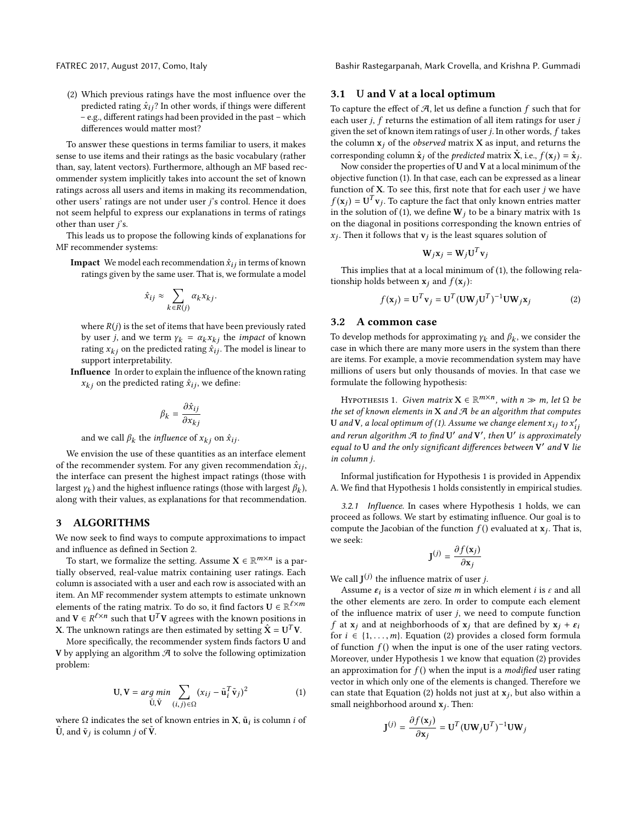(2) Which previous ratings have the most influence over the predicted rating  $\hat{x}_{ij}$ ? In other words, if things were different – e.g., different ratings had been provided in the past – which differences would matter most?

To answer these questions in terms familiar to users, it makes sense to use items and their ratings as the basic vocabulary (rather than, say, latent vectors). Furthermore, although an MF based recommender system implicitly takes into account the set of known ratings across all users and items in making its recommendation, other users' ratings are not under user j's control. Hence it does not seem helpful to express our explanations in terms of ratings other than user  $j$ 's.

This leads us to propose the following kinds of explanations for MF recommender systems:

**Impact** We model each recommendation  $\hat{x}_{ij}$  in terms of known ratings given by the same user. That is, we formulate a model

$$
\hat{x}_{ij} \approx \sum_{k \in R(j)} \alpha_k x_{kj}.
$$

where  $R(j)$  is the set of items that have been previously rated by user *j*, and we term  $\gamma_k = \alpha_k x_{kj}$  the *impact* of known rating  $x_{kj}$  on the predicted rating  $\hat{x}_{ij}$ . The model is linear to support interpretability.

Influence In order to explain the influence of the known rating  $x_{kj}$  on the predicted rating  $\hat{x}_{ij}$ , we define:

$$
\beta_k = \frac{\partial \hat{x}_{ij}}{\partial x_{kj}}
$$

and we call  $\beta_k$  the *influence* of  $x_{kj}$  on  $\hat{x}_{ij}$ .

We envision the use of these quantities as an interface element of the recommender system. For any given recommendation  $\hat{x}_{ij}$ , the interface can present the highest impact ratings (those with largest  $\gamma_k$ ) and the highest influence ratings (those with largest  $\beta_k$ ), along with their values as explanations for that recommendation along with their values, as explanations for that recommendation.

#### 3 ALGORITHMS

We now seek to find ways to compute approximations to impact and influence as defined in Section [2.](#page-0-0)

To start, we formalize the setting. Assume  $\mathbf{X} \in \mathbb{R}^{m \times n}$  is a partially observed, real-value matrix containing user ratings. Each column is associated with a user and each row is associated with an item. An MF recommender system attempts to estimate unknown elements of the rating matrix. To do so, it find factors  $\mathbf{U} \in \mathbb{R}^{\ell \times m}$ and  $V \in R^{\ell \times n}$  such that  $U^T V$  agrees with the known positions in  $V$ . The unknown ratings are then estimated by setting  $\hat{V} - U^T V$ **X**. The unknown ratings are then estimated by setting  $\hat{\mathbf{X}} = \mathbf{U}^T \mathbf{V}$ .

More specifically, the recommender system finds factors U and V by applying an algorithm  $A$  to solve the following optimization problem:

<span id="page-1-0"></span>
$$
\mathbf{U}, \mathbf{V} = \arg\min_{\tilde{\mathbf{U}}, \tilde{\mathbf{V}}} \sum_{(i,j) \in \Omega} (x_{ij} - \tilde{\mathbf{u}}_i^T \tilde{\mathbf{v}}_j)^2
$$
(1)

where  $\Omega$  indicates the set of known entries in **X**,  $\tilde{\mathbf{u}}_i$  is column *i* of  $\tilde{\mathbf{v}}$  $\tilde{U}$ , and  $\tilde{v}_j$  is column *j* of  $\tilde{V}$ .

FATREC 2017, August 2017, Como, Italy Bashir Rastegarpanah, Mark Crovella, and Krishna P. Gummadi

#### 3.1 U and V at a local optimum

To capture the effect of  $A$ , let us define a function  $f$  such that for each user  $j$ ,  $f$  returns the estimation of all item ratings for user  $j$ given the set of known item ratings of user  $j$ . In other words,  $f$  takes the column  $x_i$  of the *observed* matrix  $X$  as input, and returns the corresponding column  $\hat{\mathbf{x}}_j$  of the *predicted* matrix  $\hat{\mathbf{X}}$ , i.e.,  $f(\mathbf{x}_j) = \hat{\mathbf{x}}_j$ .<br>Now consider the properties of U and V at a local minimum of the

Now consider the properties of U and V at a local minimum of the objective function [\(1\)](#page-1-0). In that case, each can be expressed as a linear function of  $X$ . To see this, first note that for each user  $j$  we have  $f(\mathbf{x}_j) = \mathbf{U}^T \mathbf{v}_j$ . To capture the fact that only known entries matter<br>in the solution of (1) we define  $\mathbf{W}_j$  to be a binary matrix with 1s in the solution of [\(1\)](#page-1-0), we define  $W_j$  to be a binary matrix with 1s on the diagonal in positions corresponding the known entries of  $x_j$ . Then it follows that  $\mathbf{v}_j$  is the least squares solution of

$$
\mathbf{W}_j \mathbf{x}_j = \mathbf{W}_j \mathbf{U}^T \mathbf{v}_j
$$

This implies that at a local minimum of [\(1\)](#page-1-0), the following relationship holds between  $\mathbf{x}_j$  and  $f(\mathbf{x}_j)$ :

<span id="page-1-2"></span>
$$
f(\mathbf{x}_j) = \mathbf{U}^T \mathbf{v}_j = \mathbf{U}^T (\mathbf{U} \mathbf{W}_j \mathbf{U}^T)^{-1} \mathbf{U} \mathbf{W}_j \mathbf{x}_j
$$
 (2)

### 3.2 A common case

To develop methods for approximating  $\gamma_k$  and  $\beta_k$ , we consider the case in which there are many more users in the system than there case in which there are many more users in the system than there are items. For example, a movie recommendation system may have millions of users but only thousands of movies. In that case we formulate the following hypothesis:

<span id="page-1-1"></span>HYPOTHESIS 1. Given matrix  $X \in \mathbb{R}^{m \times n}$ , with  $n \gg m$ , let  $\Omega$  be a set of known elements in  $X$  and  $\P$  be an algorithm that computes the set of known elements in  $X$  and  $A$  be an algorithm that computes U and V, a local optimum of [\(1\)](#page-1-0). Assume we change element  $x_{ij}$  to  $x'_i$ <br>and now a short-local  $\mathcal{I}$  to  $\mathcal{E}$  and  $\mathcal{I}'$  that  $\mathcal{I}'$  is a provident of and rerun algorithm  $A$  to find U' and V', then U' is approximately equal to U and the only significant differences between  $V'$  and V lie in column j.

Informal justification for Hypothesis [1](#page-1-1) is provided in Appendix A. We find that Hypothesis [1](#page-1-1) holds consistently in empirical studies.

3.2.1 Influence. In cases where Hypothesis [1](#page-1-1) holds, we can proceed as follows. We start by estimating influence. Our goal is to compute the Jacobian of the function  $f()$  evaluated at  $\mathbf{x}_j$ . That is, we seek:

$$
\mathbf{J}^{(j)} = \frac{\partial f(\mathbf{x}_j)}{\partial \mathbf{x}_j}
$$

We call  $J^{(j)}$  the influence matrix of user *j*.<br>Assume  $S_i$  is a vector of size *m* in whi

Assume  $\varepsilon_i$  is a vector of size m in which element *i* is  $\varepsilon$  and all<br>a other elements are zero. In order to compute each element the other elements are zero. In order to compute each element of the influence matrix of user  $j$ , we need to compute function f at  $x_i$  and at neighborhoods of  $x_i$  that are defined by  $x_i + \varepsilon_i$ for  $i \in \{1, \ldots, m\}$ . Equation [\(2\)](#page-1-2) provides a closed form formula of function  $f()$  when the input is one of the user rating vectors. Moreover, under Hypothesis [1](#page-1-1) we know that equation [\(2\)](#page-1-2) provides an approximation for  $f()$  when the input is a *modified* user rating vector in which only one of the elements is changed. Therefore we can state that Equation [\(2\)](#page-1-2) holds not just at  $\mathbf{x}_j$ , but also within a small noighborhood ground  $\mathbf{x}_i$ . Then: small neighborhood around  $x_j$ . Then:

$$
\mathbf{J}^{(j)} = \frac{\partial f(\mathbf{x}_j)}{\partial \mathbf{x}_j} = \mathbf{U}^T (\mathbf{U} \mathbf{W}_j \mathbf{U}^T)^{-1} \mathbf{U} \mathbf{W}_j
$$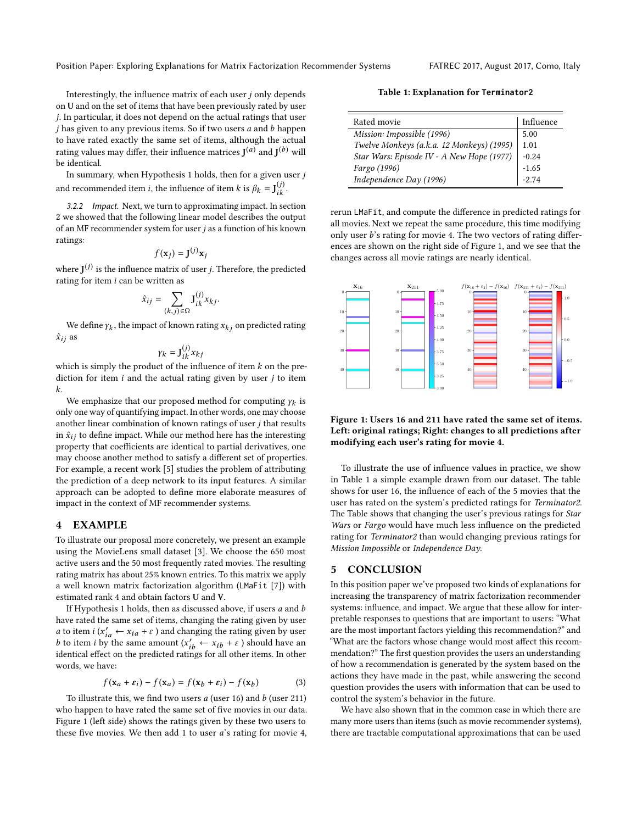Interestingly, the influence matrix of each user j only depends on U and on the set of items that have been previously rated by user j. In particular, it does not depend on the actual ratings that user  $j$  has given to any previous items. So if two users  $a$  and  $b$  happen to have rated exactly the same set of items, although the actual rating values may differ, their influence matrices  $J^{(a)}$  and  $J^{(b)}$  will be identical.

In summary, when Hypothesis [1](#page-1-1) holds, then for a given user  $j$ and recommended item *i*, the influence of item *k* is  $\beta_k = \mathbf{J}_{ik}^{(j)}$ .

3.2.2 Impact. Next, we turn to approximating impact. In section 2 we showed that the following linear model describes the output of an MF recommender system for user  $j$  as a function of his known ratings:

$$
f(\mathbf{x}_j) = \mathbf{J}^{(j)} \mathbf{x}_j
$$

where  $J^{(j)}$  is the influence matrix of user *j*. Therefore, the predicted rating for item *i* can be written as rating for item  $i$  can be written as

$$
\hat{x}_{ij} = \sum_{(k,j)\in\Omega} \mathbf{J}_{ik}^{(j)} x_{kj}.
$$

We define  $\gamma_k$ , the impact of known rating  $x_{kj}$  on predicted rating as  $\hat{x}_{ij}$  as

$$
\gamma_k = \mathbf{J}_{ik}^{(j)} x_{k,j}
$$

 $\gamma_k = J_{ik}^{(V)} x_{kj}$ <br>which is simply the product of the influence of item k on the pre-<br>diction for item i and the actual rating given by user i to item diction for item  $i$  and the actual rating given by user  $j$  to item k.

We emphasize that our proposed method for computing  $\gamma_k$  is<br>wore way of quantifying impact. In other words, one may choose only one way of quantifying impact. In other words, one may choose another linear combination of known ratings of user j that results in  $\hat{x}_{ij}$  to define impact. While our method here has the interesting property that coefficients are identical to partial derivatives, one may choose another method to satisfy a different set of properties. For example, a recent work [\[5\]](#page-3-5) studies the problem of attributing the prediction of a deep network to its input features. A similar approach can be adopted to define more elaborate measures of impact in the context of MF recommender systems.

## 4 EXAMPLE

To illustrate our proposal more concretely, we present an example using the MovieLens small dataset [\[3\]](#page-3-6). We choose the 650 most active users and the 50 most frequently rated movies. The resulting rating matrix has about 25% known entries. To this matrix we apply a well known matrix factorization algorithm (LMaFit [\[7\]](#page-3-7)) with estimated rank 4 and obtain factors U and V.

If Hypothesis [1](#page-1-1) holds, then as discussed above, if users  $a$  and  $b$ have rated the same set of items, changing the rating given by user a to item  $i(x'_{ia} \leftarrow x_{ia} + \varepsilon)$  and changing the rating given by user<br>b to item i by the same amount  $(x'_{-} \leftarrow x_{ib} + \varepsilon)$  should have an b to item *i* by the same amount  $(x'_{ib} \leftarrow x_{ib} + \varepsilon)$  should have an identical effect on the predicted ratings for all other items. In other identical effect on the predicted ratings for all other items. In other words, we have:

$$
f(\mathbf{x}_a + \varepsilon_i) - f(\mathbf{x}_a) = f(\mathbf{x}_b + \varepsilon_i) - f(\mathbf{x}_b)
$$
 (3)

To illustrate this, we find two users  $a$  (user 16) and  $b$  (user 211)<br>to happen to have rated the same set of five movies in our data who happen to have rated the same set of five movies in our data. Figure [1](#page-2-0) (left side) shows the ratings given by these two users to these five movies. We then add 1 to user a's rating for movie 4,

Table 1: Explanation for Terminator2

<span id="page-2-1"></span>

| Rated movie                               | Influence |
|-------------------------------------------|-----------|
| Mission: Impossible (1996)                | 5.00      |
| Twelve Monkeys (a.k.a. 12 Monkeys) (1995) | 1.01      |
| Star Wars: Episode IV - A New Hope (1977) | $-0.24$   |
| Fargo (1996)                              | $-1.65$   |
| Independence Day (1996)                   | $-2.74$   |

rerun LMaFit, and compute the difference in predicted ratings for all movies. Next we repeat the same procedure, this time modifying only user b's rating for movie 4. The two vectors of rating differences are shown on the right side of Figure [1,](#page-2-0) and we see that the changes across all movie ratings are nearly identical.

<span id="page-2-0"></span>

Figure 1: Users 16 and 211 have rated the same set of items. Left: original ratings; Right: changes to all predictions after modifying each user's rating for movie 4.

To illustrate the use of influence values in practice, we show in Table [1](#page-2-1) a simple example drawn from our dataset. The table shows for user 16, the influence of each of the 5 movies that the user has rated on the system's predicted ratings for Terminator2. The Table shows that changing the user's previous ratings for Star Wars or Fargo would have much less influence on the predicted rating for Terminator2 than would changing previous ratings for Mission Impossible or Independence Day.

#### 5 CONCLUSION

In this position paper we've proposed two kinds of explanations for increasing the transparency of matrix factorization recommender systems: influence, and impact. We argue that these allow for interpretable responses to questions that are important to users: "What are the most important factors yielding this recommendation?" and "What are the factors whose change would most affect this recommendation?" The first question provides the users an understanding of how a recommendation is generated by the system based on the actions they have made in the past, while answering the second question provides the users with information that can be used to control the system's behavior in the future.

We have also shown that in the common case in which there are many more users than items (such as movie recommender systems), there are tractable computational approximations that can be used